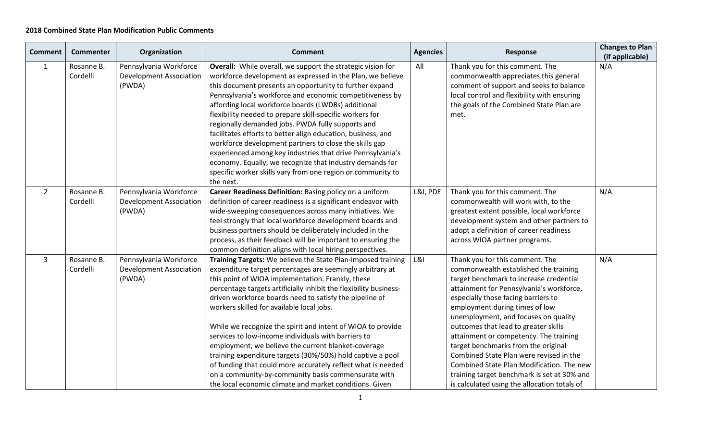## **2018 Combined State Plan Modification Public Comments**

| <b>Comment</b> | Commenter              | Organization                                                       | <b>Comment</b>                                                                                                                                                                                                                                                                                                                                                                                                                                                                                                                                                                                                                                                                                                                                                                           | <b>Agencies</b> | Response                                                                                                                                                                                                                                                                                                                                                                                                                                                                                                                                                                                         | <b>Changes to Plan</b><br>(if applicable) |
|----------------|------------------------|--------------------------------------------------------------------|------------------------------------------------------------------------------------------------------------------------------------------------------------------------------------------------------------------------------------------------------------------------------------------------------------------------------------------------------------------------------------------------------------------------------------------------------------------------------------------------------------------------------------------------------------------------------------------------------------------------------------------------------------------------------------------------------------------------------------------------------------------------------------------|-----------------|--------------------------------------------------------------------------------------------------------------------------------------------------------------------------------------------------------------------------------------------------------------------------------------------------------------------------------------------------------------------------------------------------------------------------------------------------------------------------------------------------------------------------------------------------------------------------------------------------|-------------------------------------------|
| $\mathbf{1}$   | Rosanne B.<br>Cordelli | Pennsylvania Workforce<br><b>Development Association</b><br>(PWDA) | Overall: While overall, we support the strategic vision for<br>workforce development as expressed in the Plan, we believe<br>this document presents an opportunity to further expand<br>Pennsylvania's workforce and economic competitiveness by<br>affording local workforce boards (LWDBs) additional<br>flexibility needed to prepare skill-specific workers for<br>regionally demanded jobs. PWDA fully supports and<br>facilitates efforts to better align education, business, and<br>workforce development partners to close the skills gap<br>experienced among key industries that drive Pennsylvania's<br>economy. Equally, we recognize that industry demands for<br>specific worker skills vary from one region or community to<br>the next.                                 | All             | Thank you for this comment. The<br>commonwealth appreciates this general<br>comment of support and seeks to balance<br>local control and flexibility with ensuring<br>the goals of the Combined State Plan are<br>met.                                                                                                                                                                                                                                                                                                                                                                           | N/A                                       |
| $2^{\circ}$    | Rosanne B.<br>Cordelli | Pennsylvania Workforce<br><b>Development Association</b><br>(PWDA) | Career Readiness Definition: Basing policy on a uniform<br>definition of career readiness is a significant endeavor with<br>wide-sweeping consequences across many initiatives. We<br>feel strongly that local workforce development boards and<br>business partners should be deliberately included in the<br>process, as their feedback will be important to ensuring the<br>common definition aligns with local hiring perspectives.                                                                                                                                                                                                                                                                                                                                                  | L&I, PDE        | Thank you for this comment. The<br>commonwealth will work with, to the<br>greatest extent possible, local workforce<br>development system and other partners to<br>adopt a definition of career readiness<br>across WIOA partner programs.                                                                                                                                                                                                                                                                                                                                                       | N/A                                       |
| $\overline{3}$ | Rosanne B.<br>Cordelli | Pennsylvania Workforce<br><b>Development Association</b><br>(PWDA) | Training Targets: We believe the State Plan-imposed training<br>expenditure target percentages are seemingly arbitrary at<br>this point of WIOA implementation. Frankly, these<br>percentage targets artificially inhibit the flexibility business-<br>driven workforce boards need to satisfy the pipeline of<br>workers skilled for available local jobs.<br>While we recognize the spirit and intent of WIOA to provide<br>services to low-income individuals with barriers to<br>employment, we believe the current blanket-coverage<br>training expenditure targets (30%/50%) hold captive a pool<br>of funding that could more accurately reflect what is needed<br>on a community-by-community basis commensurate with<br>the local economic climate and market conditions. Given | <b>L&amp;I</b>  | Thank you for this comment. The<br>commonwealth established the training<br>target benchmark to increase credential<br>attainment for Pennsylvania's workforce,<br>especially those facing barriers to<br>employment during times of low<br>unemployment, and focuses on quality<br>outcomes that lead to greater skills<br>attainment or competency. The training<br>target benchmarks from the original<br>Combined State Plan were revised in the<br>Combined State Plan Modification. The new<br>training target benchmark is set at 30% and<br>is calculated using the allocation totals of | N/A                                       |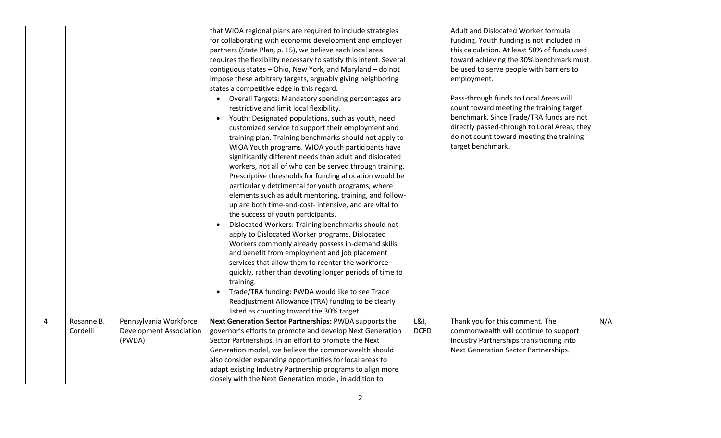|   |                        |                                                          | that WIOA regional plans are required to include strategies<br>for collaborating with economic development and employer<br>partners (State Plan, p. 15), we believe each local area<br>requires the flexibility necessary to satisfy this intent. Several<br>contiguous states - Ohio, New York, and Maryland - do not<br>impose these arbitrary targets, arguably giving neighboring<br>states a competitive edge in this regard.<br>Overall Targets: Mandatory spending percentages are<br>restrictive and limit local flexibility.<br>Youth: Designated populations, such as youth, need<br>$\bullet$<br>customized service to support their employment and<br>training plan. Training benchmarks should not apply to<br>WIOA Youth programs. WIOA youth participants have<br>significantly different needs than adult and dislocated<br>workers, not all of who can be served through training.<br>Prescriptive thresholds for funding allocation would be<br>particularly detrimental for youth programs, where<br>elements such as adult mentoring, training, and follow-<br>up are both time-and-cost- intensive, and are vital to<br>the success of youth participants.<br>Dislocated Workers: Training benchmarks should not<br>$\bullet$<br>apply to Dislocated Worker programs. Dislocated<br>Workers commonly already possess in-demand skills<br>and benefit from employment and job placement<br>services that allow them to reenter the workforce<br>quickly, rather than devoting longer periods of time to<br>training.<br>Trade/TRA funding: PWDA would like to see Trade |                     | Adult and Dislocated Worker formula<br>funding. Youth funding is not included in<br>this calculation. At least 50% of funds used<br>toward achieving the 30% benchmark must<br>be used to serve people with barriers to<br>employment.<br>Pass-through funds to Local Areas will<br>count toward meeting the training target<br>benchmark. Since Trade/TRA funds are not<br>directly passed-through to Local Areas, they<br>do not count toward meeting the training<br>target benchmark. |     |
|---|------------------------|----------------------------------------------------------|---------------------------------------------------------------------------------------------------------------------------------------------------------------------------------------------------------------------------------------------------------------------------------------------------------------------------------------------------------------------------------------------------------------------------------------------------------------------------------------------------------------------------------------------------------------------------------------------------------------------------------------------------------------------------------------------------------------------------------------------------------------------------------------------------------------------------------------------------------------------------------------------------------------------------------------------------------------------------------------------------------------------------------------------------------------------------------------------------------------------------------------------------------------------------------------------------------------------------------------------------------------------------------------------------------------------------------------------------------------------------------------------------------------------------------------------------------------------------------------------------------------------------------------------------------------------------------------------|---------------------|-------------------------------------------------------------------------------------------------------------------------------------------------------------------------------------------------------------------------------------------------------------------------------------------------------------------------------------------------------------------------------------------------------------------------------------------------------------------------------------------|-----|
|   |                        |                                                          |                                                                                                                                                                                                                                                                                                                                                                                                                                                                                                                                                                                                                                                                                                                                                                                                                                                                                                                                                                                                                                                                                                                                                                                                                                                                                                                                                                                                                                                                                                                                                                                             |                     |                                                                                                                                                                                                                                                                                                                                                                                                                                                                                           |     |
|   |                        |                                                          | Readjustment Allowance (TRA) funding to be clearly<br>listed as counting toward the 30% target.                                                                                                                                                                                                                                                                                                                                                                                                                                                                                                                                                                                                                                                                                                                                                                                                                                                                                                                                                                                                                                                                                                                                                                                                                                                                                                                                                                                                                                                                                             |                     |                                                                                                                                                                                                                                                                                                                                                                                                                                                                                           |     |
| 4 | Rosanne B.<br>Cordelli | Pennsylvania Workforce<br><b>Development Association</b> | Next Generation Sector Partnerships: PWDA supports the<br>governor's efforts to promote and develop Next Generation                                                                                                                                                                                                                                                                                                                                                                                                                                                                                                                                                                                                                                                                                                                                                                                                                                                                                                                                                                                                                                                                                                                                                                                                                                                                                                                                                                                                                                                                         | L&I,<br><b>DCED</b> | Thank you for this comment. The<br>commonwealth will continue to support                                                                                                                                                                                                                                                                                                                                                                                                                  | N/A |
|   |                        | (PWDA)                                                   | Sector Partnerships. In an effort to promote the Next<br>Generation model, we believe the commonwealth should<br>also consider expanding opportunities for local areas to<br>adapt existing Industry Partnership programs to align more<br>closely with the Next Generation model, in addition to                                                                                                                                                                                                                                                                                                                                                                                                                                                                                                                                                                                                                                                                                                                                                                                                                                                                                                                                                                                                                                                                                                                                                                                                                                                                                           |                     | Industry Partnerships transitioning into<br>Next Generation Sector Partnerships.                                                                                                                                                                                                                                                                                                                                                                                                          |     |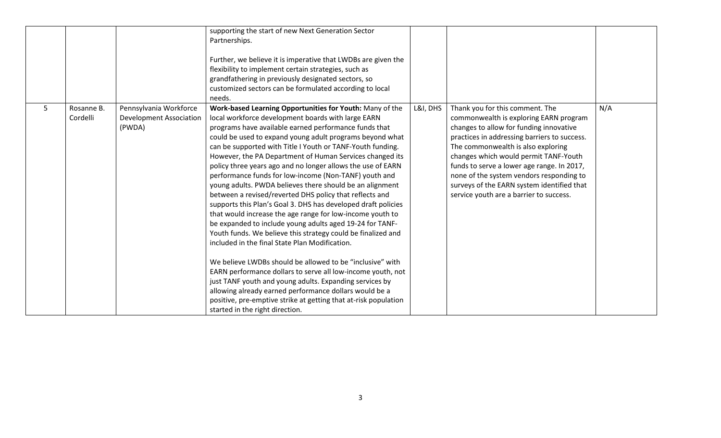|                                                                                                   | supporting the start of new Next Generation Sector<br>Partnerships.<br>Further, we believe it is imperative that LWDBs are given the<br>flexibility to implement certain strategies, such as<br>grandfathering in previously designated sectors, so<br>customized sectors can be formulated according to local<br>needs.                                                                                                                                                                                                                                                                                                                                                                                                                                                                                                                                                                                                                                                                                                                                                                                                                                                                                                                                                        |          |                                                                                                                                                                                                                                                                                                                                                                                                                                        |     |
|---------------------------------------------------------------------------------------------------|---------------------------------------------------------------------------------------------------------------------------------------------------------------------------------------------------------------------------------------------------------------------------------------------------------------------------------------------------------------------------------------------------------------------------------------------------------------------------------------------------------------------------------------------------------------------------------------------------------------------------------------------------------------------------------------------------------------------------------------------------------------------------------------------------------------------------------------------------------------------------------------------------------------------------------------------------------------------------------------------------------------------------------------------------------------------------------------------------------------------------------------------------------------------------------------------------------------------------------------------------------------------------------|----------|----------------------------------------------------------------------------------------------------------------------------------------------------------------------------------------------------------------------------------------------------------------------------------------------------------------------------------------------------------------------------------------------------------------------------------------|-----|
| Pennsylvania Workforce<br>5<br>Rosanne B.<br>Cordelli<br><b>Development Association</b><br>(PWDA) | Work-based Learning Opportunities for Youth: Many of the<br>local workforce development boards with large EARN<br>programs have available earned performance funds that<br>could be used to expand young adult programs beyond what<br>can be supported with Title I Youth or TANF-Youth funding.<br>However, the PA Department of Human Services changed its<br>policy three years ago and no longer allows the use of EARN<br>performance funds for low-income (Non-TANF) youth and<br>young adults. PWDA believes there should be an alignment<br>between a revised/reverted DHS policy that reflects and<br>supports this Plan's Goal 3. DHS has developed draft policies<br>that would increase the age range for low-income youth to<br>be expanded to include young adults aged 19-24 for TANF-<br>Youth funds. We believe this strategy could be finalized and<br>included in the final State Plan Modification.<br>We believe LWDBs should be allowed to be "inclusive" with<br>EARN performance dollars to serve all low-income youth, not<br>just TANF youth and young adults. Expanding services by<br>allowing already earned performance dollars would be a<br>positive, pre-emptive strike at getting that at-risk population<br>started in the right direction. | L&I, DHS | Thank you for this comment. The<br>commonwealth is exploring EARN program<br>changes to allow for funding innovative<br>practices in addressing barriers to success.<br>The commonwealth is also exploring<br>changes which would permit TANF-Youth<br>funds to serve a lower age range. In 2017,<br>none of the system vendors responding to<br>surveys of the EARN system identified that<br>service youth are a barrier to success. | N/A |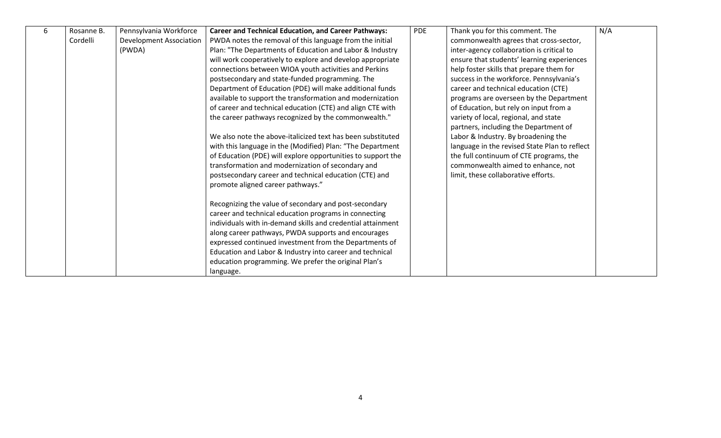| 6 | Rosanne B. | Pennsylvania Workforce         | <b>Career and Technical Education, and Career Pathways:</b>  | <b>PDE</b> | Thank you for this comment. The               | N/A |
|---|------------|--------------------------------|--------------------------------------------------------------|------------|-----------------------------------------------|-----|
|   | Cordelli   | <b>Development Association</b> | PWDA notes the removal of this language from the initial     |            | commonwealth agrees that cross-sector,        |     |
|   |            | (PWDA)                         | Plan: "The Departments of Education and Labor & Industry     |            | inter-agency collaboration is critical to     |     |
|   |            |                                | will work cooperatively to explore and develop appropriate   |            | ensure that students' learning experiences    |     |
|   |            |                                | connections between WIOA youth activities and Perkins        |            | help foster skills that prepare them for      |     |
|   |            |                                | postsecondary and state-funded programming. The              |            | success in the workforce. Pennsylvania's      |     |
|   |            |                                | Department of Education (PDE) will make additional funds     |            | career and technical education (CTE)          |     |
|   |            |                                | available to support the transformation and modernization    |            | programs are overseen by the Department       |     |
|   |            |                                | of career and technical education (CTE) and align CTE with   |            | of Education, but rely on input from a        |     |
|   |            |                                | the career pathways recognized by the commonwealth."         |            | variety of local, regional, and state         |     |
|   |            |                                |                                                              |            | partners, including the Department of         |     |
|   |            |                                | We also note the above-italicized text has been substituted  |            | Labor & Industry. By broadening the           |     |
|   |            |                                | with this language in the (Modified) Plan: "The Department   |            | language in the revised State Plan to reflect |     |
|   |            |                                | of Education (PDE) will explore opportunities to support the |            | the full continuum of CTE programs, the       |     |
|   |            |                                | transformation and modernization of secondary and            |            | commonwealth aimed to enhance, not            |     |
|   |            |                                | postsecondary career and technical education (CTE) and       |            | limit, these collaborative efforts.           |     |
|   |            |                                | promote aligned career pathways."                            |            |                                               |     |
|   |            |                                |                                                              |            |                                               |     |
|   |            |                                | Recognizing the value of secondary and post-secondary        |            |                                               |     |
|   |            |                                | career and technical education programs in connecting        |            |                                               |     |
|   |            |                                | individuals with in-demand skills and credential attainment  |            |                                               |     |
|   |            |                                | along career pathways, PWDA supports and encourages          |            |                                               |     |
|   |            |                                | expressed continued investment from the Departments of       |            |                                               |     |
|   |            |                                | Education and Labor & Industry into career and technical     |            |                                               |     |
|   |            |                                | education programming. We prefer the original Plan's         |            |                                               |     |
|   |            |                                | language.                                                    |            |                                               |     |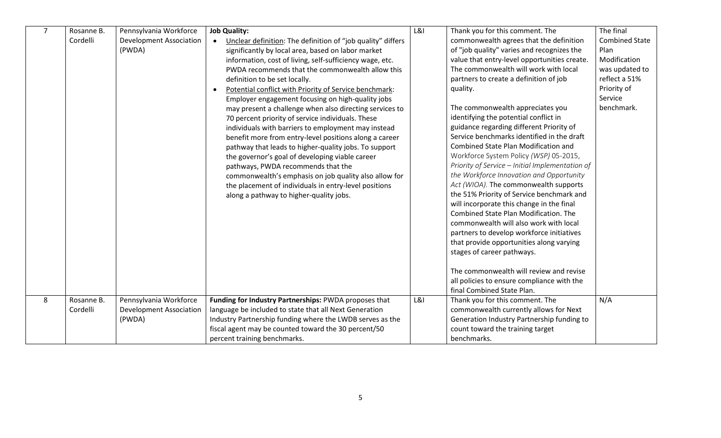| $\overline{7}$ | Rosanne B. | Pennsylvania Workforce         | <b>Job Quality:</b>                                                 | L&l            | Thank you for this comment. The                 | The final             |
|----------------|------------|--------------------------------|---------------------------------------------------------------------|----------------|-------------------------------------------------|-----------------------|
|                | Cordelli   | <b>Development Association</b> | Unclear definition: The definition of "job quality" differs         |                | commonwealth agrees that the definition         | <b>Combined State</b> |
|                |            | (PWDA)                         | significantly by local area, based on labor market                  |                | of "job quality" varies and recognizes the      | Plan                  |
|                |            |                                | information, cost of living, self-sufficiency wage, etc.            |                | value that entry-level opportunities create.    | Modification          |
|                |            |                                | PWDA recommends that the commonwealth allow this                    |                | The commonwealth will work with local           | was updated to        |
|                |            |                                | definition to be set locally.                                       |                | partners to create a definition of job          | reflect a 51%         |
|                |            |                                | Potential conflict with Priority of Service benchmark:<br>$\bullet$ |                | quality.                                        | Priority of           |
|                |            |                                | Employer engagement focusing on high-quality jobs                   |                |                                                 | Service               |
|                |            |                                | may present a challenge when also directing services to             |                | The commonwealth appreciates you                | benchmark.            |
|                |            |                                | 70 percent priority of service individuals. These                   |                | identifying the potential conflict in           |                       |
|                |            |                                | individuals with barriers to employment may instead                 |                | guidance regarding different Priority of        |                       |
|                |            |                                | benefit more from entry-level positions along a career              |                | Service benchmarks identified in the draft      |                       |
|                |            |                                | pathway that leads to higher-quality jobs. To support               |                | Combined State Plan Modification and            |                       |
|                |            |                                | the governor's goal of developing viable career                     |                | Workforce System Policy (WSP) 05-2015,          |                       |
|                |            |                                | pathways, PWDA recommends that the                                  |                | Priority of Service - Initial Implementation of |                       |
|                |            |                                | commonwealth's emphasis on job quality also allow for               |                | the Workforce Innovation and Opportunity        |                       |
|                |            |                                | the placement of individuals in entry-level positions               |                | Act (WIOA). The commonwealth supports           |                       |
|                |            |                                | along a pathway to higher-quality jobs.                             |                | the 51% Priority of Service benchmark and       |                       |
|                |            |                                |                                                                     |                | will incorporate this change in the final       |                       |
|                |            |                                |                                                                     |                | Combined State Plan Modification. The           |                       |
|                |            |                                |                                                                     |                | commonwealth will also work with local          |                       |
|                |            |                                |                                                                     |                | partners to develop workforce initiatives       |                       |
|                |            |                                |                                                                     |                | that provide opportunities along varying        |                       |
|                |            |                                |                                                                     |                | stages of career pathways.                      |                       |
|                |            |                                |                                                                     |                |                                                 |                       |
|                |            |                                |                                                                     |                | The commonwealth will review and revise         |                       |
|                |            |                                |                                                                     |                | all policies to ensure compliance with the      |                       |
|                |            |                                |                                                                     |                | final Combined State Plan.                      |                       |
| 8              | Rosanne B. | Pennsylvania Workforce         | Funding for Industry Partnerships: PWDA proposes that               | <b>L&amp;I</b> | Thank you for this comment. The                 | N/A                   |
|                | Cordelli   | <b>Development Association</b> | language be included to state that all Next Generation              |                | commonwealth currently allows for Next          |                       |
|                |            | (PWDA)                         | Industry Partnership funding where the LWDB serves as the           |                | Generation Industry Partnership funding to      |                       |
|                |            |                                | fiscal agent may be counted toward the 30 percent/50                |                | count toward the training target                |                       |
|                |            |                                | percent training benchmarks.                                        |                | benchmarks.                                     |                       |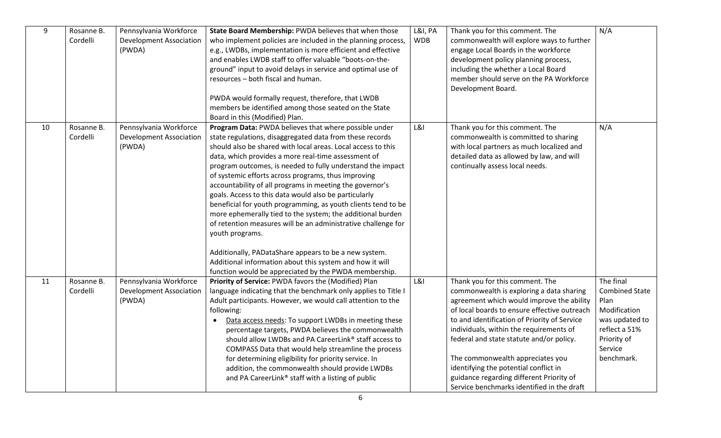| 9  | Rosanne B.<br>Cordelli | Pennsylvania Workforce<br><b>Development Association</b><br>(PWDA) | State Board Membership: PWDA believes that when those<br>who implement policies are included in the planning process,<br>e.g., LWDBs, implementation is more efficient and effective<br>and enables LWDB staff to offer valuable "boots-on-the-<br>ground" input to avoid delays in service and optimal use of<br>resources - both fiscal and human.<br>PWDA would formally request, therefore, that LWDB<br>members be identified among those seated on the State<br>Board in this (Modified) Plan.                                                                                                                                                                                                                                                                                                                                                                                | L&I, PA<br><b>WDB</b> | Thank you for this comment. The<br>commonwealth will explore ways to further<br>engage Local Boards in the workforce<br>development policy planning process,<br>including the whether a Local Board<br>member should serve on the PA Workforce<br>Development Board.                                                                                                                                                                                                                   | N/A                                                                                                                                   |
|----|------------------------|--------------------------------------------------------------------|-------------------------------------------------------------------------------------------------------------------------------------------------------------------------------------------------------------------------------------------------------------------------------------------------------------------------------------------------------------------------------------------------------------------------------------------------------------------------------------------------------------------------------------------------------------------------------------------------------------------------------------------------------------------------------------------------------------------------------------------------------------------------------------------------------------------------------------------------------------------------------------|-----------------------|----------------------------------------------------------------------------------------------------------------------------------------------------------------------------------------------------------------------------------------------------------------------------------------------------------------------------------------------------------------------------------------------------------------------------------------------------------------------------------------|---------------------------------------------------------------------------------------------------------------------------------------|
| 10 | Rosanne B.<br>Cordelli | Pennsylvania Workforce<br><b>Development Association</b><br>(PWDA) | Program Data: PWDA believes that where possible under<br>state regulations, disaggregated data from these records<br>should also be shared with local areas. Local access to this<br>data, which provides a more real-time assessment of<br>program outcomes, is needed to fully understand the impact<br>of systemic efforts across programs, thus improving<br>accountability of all programs in meeting the governor's<br>goals. Access to this data would also be particularly<br>beneficial for youth programming, as youth clients tend to be<br>more ephemerally tied to the system; the additional burden<br>of retention measures will be an administrative challenge for<br>youth programs.<br>Additionally, PADataShare appears to be a new system.<br>Additional information about this system and how it will<br>function would be appreciated by the PWDA membership. | L&l                   | Thank you for this comment. The<br>commonwealth is committed to sharing<br>with local partners as much localized and<br>detailed data as allowed by law, and will<br>continually assess local needs.                                                                                                                                                                                                                                                                                   | N/A                                                                                                                                   |
| 11 | Rosanne B.<br>Cordelli | Pennsylvania Workforce<br><b>Development Association</b><br>(PWDA) | Priority of Service: PWDA favors the (Modified) Plan<br>language indicating that the benchmark only applies to Title I<br>Adult participants. However, we would call attention to the<br>following:<br>Data access needs: To support LWDBs in meeting these<br>percentage targets, PWDA believes the commonwealth<br>should allow LWDBs and PA CareerLink® staff access to<br>COMPASS Data that would help streamline the process<br>for determining eligibility for priority service. In<br>addition, the commonwealth should provide LWDBs<br>and PA CareerLink® staff with a listing of public                                                                                                                                                                                                                                                                                   | <b>L&amp;I</b>        | Thank you for this comment. The<br>commonwealth is exploring a data sharing<br>agreement which would improve the ability<br>of local boards to ensure effective outreach<br>to and identification of Priority of Service<br>individuals, within the requirements of<br>federal and state statute and/or policy.<br>The commonwealth appreciates you<br>identifying the potential conflict in<br>guidance regarding different Priority of<br>Service benchmarks identified in the draft | The final<br><b>Combined State</b><br>Plan<br>Modification<br>was updated to<br>reflect a 51%<br>Priority of<br>Service<br>benchmark. |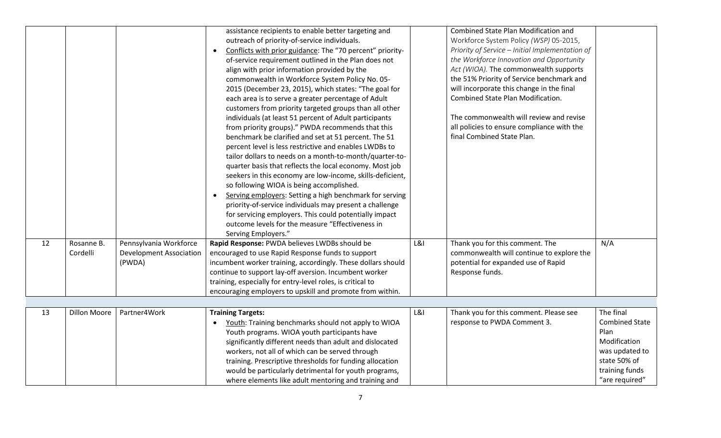|    |                        |                                                                    | assistance recipients to enable better targeting and<br>outreach of priority-of-service individuals.<br>Conflicts with prior guidance: The "70 percent" priority-<br>of-service requirement outlined in the Plan does not<br>align with prior information provided by the<br>commonwealth in Workforce System Policy No. 05-<br>2015 (December 23, 2015), which states: "The goal for<br>each area is to serve a greater percentage of Adult<br>customers from priority targeted groups than all other<br>individuals (at least 51 percent of Adult participants<br>from priority groups)." PWDA recommends that this<br>benchmark be clarified and set at 51 percent. The 51<br>percent level is less restrictive and enables LWDBs to<br>tailor dollars to needs on a month-to-month/quarter-to-<br>quarter basis that reflects the local economy. Most job<br>seekers in this economy are low-income, skills-deficient,<br>so following WIOA is being accomplished.<br>Serving employers: Setting a high benchmark for serving<br>priority-of-service individuals may present a challenge<br>for servicing employers. This could potentially impact<br>outcome levels for the measure "Effectiveness in<br>Serving Employers." |                | Combined State Plan Modification and<br>Workforce System Policy (WSP) 05-2015,<br>Priority of Service - Initial Implementation of<br>the Workforce Innovation and Opportunity<br>Act (WIOA). The commonwealth supports<br>the 51% Priority of Service benchmark and<br>will incorporate this change in the final<br>Combined State Plan Modification.<br>The commonwealth will review and revise<br>all policies to ensure compliance with the<br>final Combined State Plan. |                                                                                                                                  |
|----|------------------------|--------------------------------------------------------------------|-----------------------------------------------------------------------------------------------------------------------------------------------------------------------------------------------------------------------------------------------------------------------------------------------------------------------------------------------------------------------------------------------------------------------------------------------------------------------------------------------------------------------------------------------------------------------------------------------------------------------------------------------------------------------------------------------------------------------------------------------------------------------------------------------------------------------------------------------------------------------------------------------------------------------------------------------------------------------------------------------------------------------------------------------------------------------------------------------------------------------------------------------------------------------------------------------------------------------------------|----------------|------------------------------------------------------------------------------------------------------------------------------------------------------------------------------------------------------------------------------------------------------------------------------------------------------------------------------------------------------------------------------------------------------------------------------------------------------------------------------|----------------------------------------------------------------------------------------------------------------------------------|
| 12 | Rosanne B.<br>Cordelli | Pennsylvania Workforce<br><b>Development Association</b><br>(PWDA) | Rapid Response: PWDA believes LWDBs should be<br>encouraged to use Rapid Response funds to support<br>incumbent worker training, accordingly. These dollars should<br>continue to support lay-off aversion. Incumbent worker<br>training, especially for entry-level roles, is critical to<br>encouraging employers to upskill and promote from within.                                                                                                                                                                                                                                                                                                                                                                                                                                                                                                                                                                                                                                                                                                                                                                                                                                                                           | <b>L&amp;I</b> | Thank you for this comment. The<br>commonwealth will continue to explore the<br>potential for expanded use of Rapid<br>Response funds.                                                                                                                                                                                                                                                                                                                                       | N/A                                                                                                                              |
|    |                        |                                                                    |                                                                                                                                                                                                                                                                                                                                                                                                                                                                                                                                                                                                                                                                                                                                                                                                                                                                                                                                                                                                                                                                                                                                                                                                                                   |                |                                                                                                                                                                                                                                                                                                                                                                                                                                                                              |                                                                                                                                  |
| 13 | <b>Dillon Moore</b>    | Partner4Work                                                       | <b>Training Targets:</b><br>Youth: Training benchmarks should not apply to WIOA<br>Youth programs. WIOA youth participants have<br>significantly different needs than adult and dislocated<br>workers, not all of which can be served through<br>training. Prescriptive thresholds for funding allocation<br>would be particularly detrimental for youth programs,<br>where elements like adult mentoring and training and                                                                                                                                                                                                                                                                                                                                                                                                                                                                                                                                                                                                                                                                                                                                                                                                        | <b>L&amp;I</b> | Thank you for this comment. Please see<br>response to PWDA Comment 3.                                                                                                                                                                                                                                                                                                                                                                                                        | The final<br><b>Combined State</b><br>Plan<br>Modification<br>was updated to<br>state 50% of<br>training funds<br>"are required" |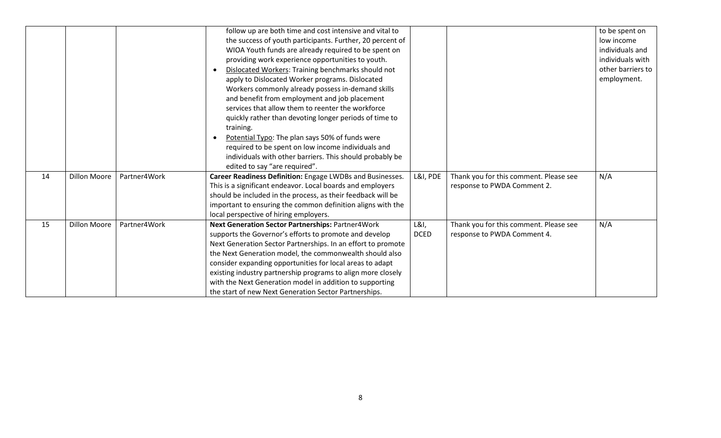|    |                     |              | follow up are both time and cost intensive and vital to<br>the success of youth participants. Further, 20 percent of<br>WIOA Youth funds are already required to be spent on<br>providing work experience opportunities to youth.<br>Dislocated Workers: Training benchmarks should not<br>$\bullet$<br>apply to Dislocated Worker programs. Dislocated<br>Workers commonly already possess in-demand skills<br>and benefit from employment and job placement<br>services that allow them to reenter the workforce<br>quickly rather than devoting longer periods of time to<br>training.<br>Potential Typo: The plan says 50% of funds were<br>required to be spent on low income individuals and<br>individuals with other barriers. This should probably be<br>edited to say "are required". |                     |                                                                       | to be spent on<br>low income<br>individuals and<br>individuals with<br>other barriers to<br>employment. |
|----|---------------------|--------------|-------------------------------------------------------------------------------------------------------------------------------------------------------------------------------------------------------------------------------------------------------------------------------------------------------------------------------------------------------------------------------------------------------------------------------------------------------------------------------------------------------------------------------------------------------------------------------------------------------------------------------------------------------------------------------------------------------------------------------------------------------------------------------------------------|---------------------|-----------------------------------------------------------------------|---------------------------------------------------------------------------------------------------------|
| 14 | <b>Dillon Moore</b> | Partner4Work | Career Readiness Definition: Engage LWDBs and Businesses.<br>This is a significant endeavor. Local boards and employers<br>should be included in the process, as their feedback will be<br>important to ensuring the common definition aligns with the<br>local perspective of hiring employers.                                                                                                                                                                                                                                                                                                                                                                                                                                                                                                | L&I, PDE            | Thank you for this comment. Please see<br>response to PWDA Comment 2. | N/A                                                                                                     |
| 15 | <b>Dillon Moore</b> | Partner4Work | Next Generation Sector Partnerships: Partner4Work<br>supports the Governor's efforts to promote and develop<br>Next Generation Sector Partnerships. In an effort to promote<br>the Next Generation model, the commonwealth should also<br>consider expanding opportunities for local areas to adapt<br>existing industry partnership programs to align more closely<br>with the Next Generation model in addition to supporting<br>the start of new Next Generation Sector Partnerships.                                                                                                                                                                                                                                                                                                        | L&I,<br><b>DCED</b> | Thank you for this comment. Please see<br>response to PWDA Comment 4. | N/A                                                                                                     |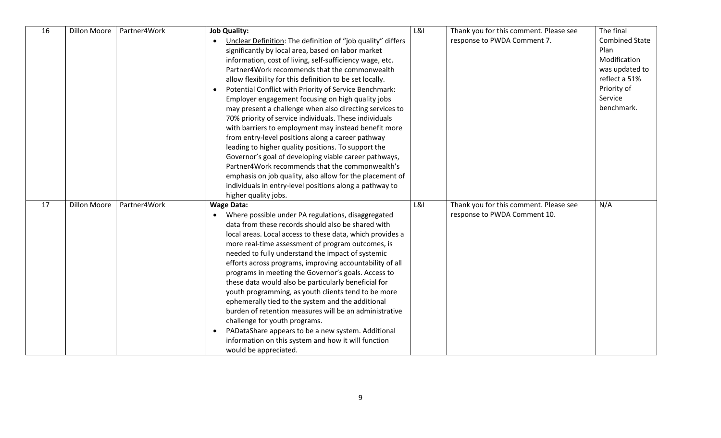| 16 | <b>Dillon Moore</b> | Partner4Work | <b>Job Quality:</b>                                                      | <b>L&amp;I</b> | Thank you for this comment. Please see | The final             |
|----|---------------------|--------------|--------------------------------------------------------------------------|----------------|----------------------------------------|-----------------------|
|    |                     |              | Unclear Definition: The definition of "job quality" differs<br>$\bullet$ |                | response to PWDA Comment 7.            | <b>Combined State</b> |
|    |                     |              | significantly by local area, based on labor market                       |                |                                        | Plan                  |
|    |                     |              | information, cost of living, self-sufficiency wage, etc.                 |                |                                        | Modification          |
|    |                     |              | Partner4Work recommends that the commonwealth                            |                |                                        | was updated to        |
|    |                     |              | allow flexibility for this definition to be set locally.                 |                |                                        | reflect a 51%         |
|    |                     |              | Potential Conflict with Priority of Service Benchmark:                   |                |                                        | Priority of           |
|    |                     |              | Employer engagement focusing on high quality jobs                        |                |                                        | Service               |
|    |                     |              | may present a challenge when also directing services to                  |                |                                        | benchmark.            |
|    |                     |              | 70% priority of service individuals. These individuals                   |                |                                        |                       |
|    |                     |              | with barriers to employment may instead benefit more                     |                |                                        |                       |
|    |                     |              | from entry-level positions along a career pathway                        |                |                                        |                       |
|    |                     |              | leading to higher quality positions. To support the                      |                |                                        |                       |
|    |                     |              | Governor's goal of developing viable career pathways,                    |                |                                        |                       |
|    |                     |              | Partner4Work recommends that the commonwealth's                          |                |                                        |                       |
|    |                     |              | emphasis on job quality, also allow for the placement of                 |                |                                        |                       |
|    |                     |              | individuals in entry-level positions along a pathway to                  |                |                                        |                       |
|    |                     |              | higher quality jobs.                                                     |                |                                        |                       |
| 17 | <b>Dillon Moore</b> | Partner4Work | <b>Wage Data:</b>                                                        | L&l            | Thank you for this comment. Please see | N/A                   |
|    |                     |              | • Where possible under PA regulations, disaggregated                     |                | response to PWDA Comment 10.           |                       |
|    |                     |              | data from these records should also be shared with                       |                |                                        |                       |
|    |                     |              | local areas. Local access to these data, which provides a                |                |                                        |                       |
|    |                     |              | more real-time assessment of program outcomes, is                        |                |                                        |                       |
|    |                     |              | needed to fully understand the impact of systemic                        |                |                                        |                       |
|    |                     |              | efforts across programs, improving accountability of all                 |                |                                        |                       |
|    |                     |              | programs in meeting the Governor's goals. Access to                      |                |                                        |                       |
|    |                     |              | these data would also be particularly beneficial for                     |                |                                        |                       |
|    |                     |              | youth programming, as youth clients tend to be more                      |                |                                        |                       |
|    |                     |              | ephemerally tied to the system and the additional                        |                |                                        |                       |
|    |                     |              | burden of retention measures will be an administrative                   |                |                                        |                       |
|    |                     |              | challenge for youth programs.                                            |                |                                        |                       |
|    |                     |              | PADataShare appears to be a new system. Additional                       |                |                                        |                       |
|    |                     |              | information on this system and how it will function                      |                |                                        |                       |
|    |                     |              | would be appreciated.                                                    |                |                                        |                       |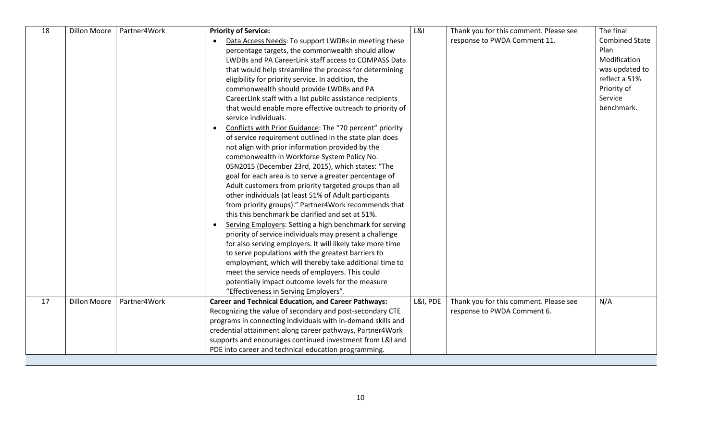| 18 | <b>Dillon Moore</b> | Partner4Work | <b>Priority of Service:</b>                                                      | <b>L&amp;I</b> | Thank you for this comment. Please see | The final             |
|----|---------------------|--------------|----------------------------------------------------------------------------------|----------------|----------------------------------------|-----------------------|
|    |                     |              | Data Access Needs: To support LWDBs in meeting these                             |                | response to PWDA Comment 11.           | <b>Combined State</b> |
|    |                     |              | percentage targets, the commonwealth should allow                                |                |                                        | Plan                  |
|    |                     |              | LWDBs and PA CareerLink staff access to COMPASS Data                             |                |                                        | Modification          |
|    |                     |              | that would help streamline the process for determining                           |                |                                        | was updated to        |
|    |                     |              | eligibility for priority service. In addition, the                               |                |                                        | reflect a 51%         |
|    |                     |              | commonwealth should provide LWDBs and PA                                         |                |                                        | Priority of           |
|    |                     |              | CareerLink staff with a list public assistance recipients                        |                |                                        | Service               |
|    |                     |              | that would enable more effective outreach to priority of<br>service individuals. |                |                                        | benchmark.            |
|    |                     |              | Conflicts with Prior Guidance: The "70 percent" priority                         |                |                                        |                       |
|    |                     |              | of service requirement outlined in the state plan does                           |                |                                        |                       |
|    |                     |              | not align with prior information provided by the                                 |                |                                        |                       |
|    |                     |              | commonwealth in Workforce System Policy No.                                      |                |                                        |                       |
|    |                     |              | 05N2015 (December 23rd, 2015), which states: "The                                |                |                                        |                       |
|    |                     |              | goal for each area is to serve a greater percentage of                           |                |                                        |                       |
|    |                     |              | Adult customers from priority targeted groups than all                           |                |                                        |                       |
|    |                     |              | other individuals (at least 51% of Adult participants                            |                |                                        |                       |
|    |                     |              | from priority groups)." Partner4Work recommends that                             |                |                                        |                       |
|    |                     |              | this this benchmark be clarified and set at 51%.                                 |                |                                        |                       |
|    |                     |              | Serving Employers: Setting a high benchmark for serving<br>$\bullet$             |                |                                        |                       |
|    |                     |              | priority of service individuals may present a challenge                          |                |                                        |                       |
|    |                     |              | for also serving employers. It will likely take more time                        |                |                                        |                       |
|    |                     |              | to serve populations with the greatest barriers to                               |                |                                        |                       |
|    |                     |              | employment, which will thereby take additional time to                           |                |                                        |                       |
|    |                     |              | meet the service needs of employers. This could                                  |                |                                        |                       |
|    |                     |              | potentially impact outcome levels for the measure                                |                |                                        |                       |
|    |                     |              | "Effectiveness in Serving Employers".                                            |                |                                        |                       |
| 17 | <b>Dillon Moore</b> | Partner4Work | <b>Career and Technical Education, and Career Pathways:</b>                      | L&I, PDE       | Thank you for this comment. Please see | N/A                   |
|    |                     |              | Recognizing the value of secondary and post-secondary CTE                        |                | response to PWDA Comment 6.            |                       |
|    |                     |              | programs in connecting individuals with in-demand skills and                     |                |                                        |                       |
|    |                     |              | credential attainment along career pathways, Partner4Work                        |                |                                        |                       |
|    |                     |              | supports and encourages continued investment from L&I and                        |                |                                        |                       |
|    |                     |              | PDE into career and technical education programming.                             |                |                                        |                       |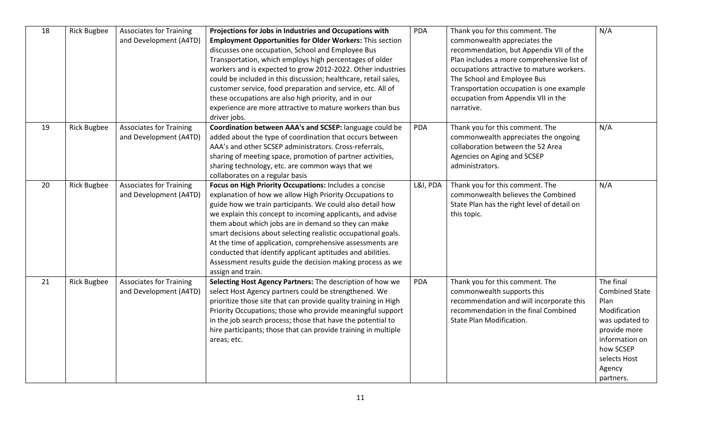| 18 | <b>Rick Bugbee</b> | <b>Associates for Training</b><br>and Development (A4TD) | Projections for Jobs in Industries and Occupations with<br><b>Employment Opportunities for Older Workers: This section</b><br>discusses one occupation, School and Employee Bus<br>Transportation, which employs high percentages of older<br>workers and is expected to grow 2012-2022. Other industries<br>could be included in this discussion; healthcare, retail sales,<br>customer service, food preparation and service, etc. All of<br>these occupations are also high priority, and in our<br>experience are more attractive to mature workers than bus<br>driver jobs.     | PDA        | Thank you for this comment. The<br>commonwealth appreciates the<br>recommendation, but Appendix VII of the<br>Plan includes a more comprehensive list of<br>occupations attractive to mature workers.<br>The School and Employee Bus<br>Transportation occupation is one example<br>occupation from Appendix VII in the<br>narrative. | N/A                                                                                                                                                                |
|----|--------------------|----------------------------------------------------------|--------------------------------------------------------------------------------------------------------------------------------------------------------------------------------------------------------------------------------------------------------------------------------------------------------------------------------------------------------------------------------------------------------------------------------------------------------------------------------------------------------------------------------------------------------------------------------------|------------|---------------------------------------------------------------------------------------------------------------------------------------------------------------------------------------------------------------------------------------------------------------------------------------------------------------------------------------|--------------------------------------------------------------------------------------------------------------------------------------------------------------------|
| 19 | <b>Rick Bugbee</b> | <b>Associates for Training</b><br>and Development (A4TD) | Coordination between AAA's and SCSEP: language could be<br>added about the type of coordination that occurs between<br>AAA's and other SCSEP administrators. Cross-referrals,<br>sharing of meeting space, promotion of partner activities,<br>sharing technology, etc. are common ways that we<br>collaborates on a regular basis                                                                                                                                                                                                                                                   | <b>PDA</b> | Thank you for this comment. The<br>commonwealth appreciates the ongoing<br>collaboration between the 52 Area<br>Agencies on Aging and SCSEP<br>administrators.                                                                                                                                                                        | N/A                                                                                                                                                                |
| 20 | <b>Rick Bugbee</b> | <b>Associates for Training</b><br>and Development (A4TD) | Focus on High Priority Occupations: Includes a concise<br>explanation of how we allow High Priority Occupations to<br>guide how we train participants. We could also detail how<br>we explain this concept to incoming applicants, and advise<br>them about which jobs are in demand so they can make<br>smart decisions about selecting realistic occupational goals.<br>At the time of application, comprehensive assessments are<br>conducted that identify applicant aptitudes and abilities.<br>Assessment results guide the decision making process as we<br>assign and train. | L&I, PDA   | Thank you for this comment. The<br>commonwealth believes the Combined<br>State Plan has the right level of detail on<br>this topic.                                                                                                                                                                                                   | N/A                                                                                                                                                                |
| 21 | <b>Rick Bugbee</b> | <b>Associates for Training</b><br>and Development (A4TD) | Selecting Host Agency Partners: The description of how we<br>select Host Agency partners could be strengthened. We<br>prioritize those site that can provide quality training in High<br>Priority Occupations; those who provide meaningful support<br>in the job search process; those that have the potential to<br>hire participants; those that can provide training in multiple<br>areas; etc.                                                                                                                                                                                  | PDA        | Thank you for this comment. The<br>commonwealth supports this<br>recommendation and will incorporate this<br>recommendation in the final Combined<br><b>State Plan Modification.</b>                                                                                                                                                  | The final<br><b>Combined State</b><br>Plan<br>Modification<br>was updated to<br>provide more<br>information on<br>how SCSEP<br>selects Host<br>Agency<br>partners. |